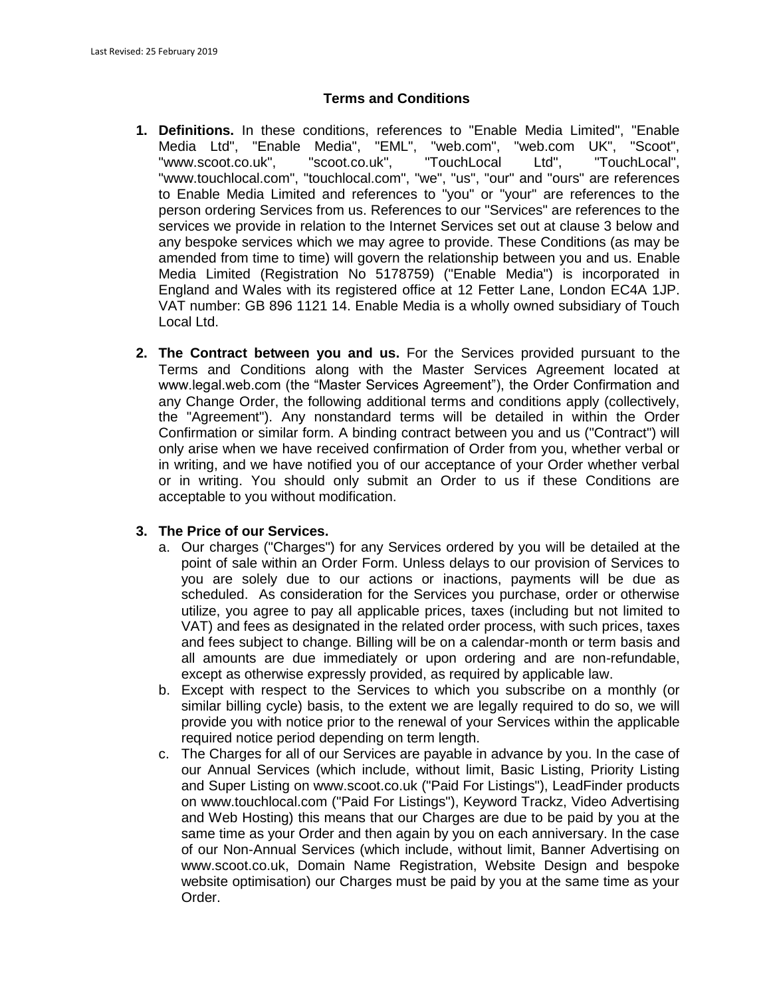## **Terms and Conditions**

- **1. Definitions.** In these conditions, references to "Enable Media Limited", "Enable Media Ltd", "Enable Media", "EML", "web.com", "web.com UK", "Scoot",<br>"www.scoot.co.uk". "scoot.co.uk", "TouchLocal Ltd", "TouchLocal", "www.scoot.co.uk", "scoot.co.uk", "TouchLocal Ltd", "TouchLocal", "www.touchlocal.com", "touchlocal.com", "we", "us", "our" and "ours" are references to Enable Media Limited and references to "you" or "your" are references to the person ordering Services from us. References to our "Services" are references to the services we provide in relation to the Internet Services set out at clause 3 below and any bespoke services which we may agree to provide. These Conditions (as may be amended from time to time) will govern the relationship between you and us. Enable Media Limited (Registration No 5178759) ("Enable Media") is incorporated in England and Wales with its registered office at 12 Fetter Lane, London EC4A 1JP. VAT number: GB 896 1121 14. Enable Media is a wholly owned subsidiary of Touch Local Ltd.
- **2. The Contract between you and us.** For the Services provided pursuant to the Terms and Conditions along with the Master Services Agreement located at www.legal.web.com (the "Master Services Agreement"), the Order Confirmation and any Change Order, the following additional terms and conditions apply (collectively, the "Agreement"). Any nonstandard terms will be detailed in within the Order Confirmation or similar form. A binding contract between you and us ("Contract") will only arise when we have received confirmation of Order from you, whether verbal or in writing, and we have notified you of our acceptance of your Order whether verbal or in writing. You should only submit an Order to us if these Conditions are acceptable to you without modification.

## **3. The Price of our Services.**

- a. Our charges ("Charges") for any Services ordered by you will be detailed at the point of sale within an Order Form. Unless delays to our provision of Services to you are solely due to our actions or inactions, payments will be due as scheduled. As consideration for the Services you purchase, order or otherwise utilize, you agree to pay all applicable prices, taxes (including but not limited to VAT) and fees as designated in the related order process, with such prices, taxes and fees subject to change. Billing will be on a calendar-month or term basis and all amounts are due immediately or upon ordering and are non-refundable, except as otherwise expressly provided, as required by applicable law.
- b. Except with respect to the Services to which you subscribe on a monthly (or similar billing cycle) basis, to the extent we are legally required to do so, we will provide you with notice prior to the renewal of your Services within the applicable required notice period depending on term length.
- c. The Charges for all of our Services are payable in advance by you. In the case of our Annual Services (which include, without limit, Basic Listing, Priority Listing and Super Listing on www.scoot.co.uk ("Paid For Listings"), LeadFinder products on www.touchlocal.com ("Paid For Listings"), Keyword Trackz, Video Advertising and Web Hosting) this means that our Charges are due to be paid by you at the same time as your Order and then again by you on each anniversary. In the case of our Non-Annual Services (which include, without limit, Banner Advertising on www.scoot.co.uk, Domain Name Registration, Website Design and bespoke website optimisation) our Charges must be paid by you at the same time as your Order.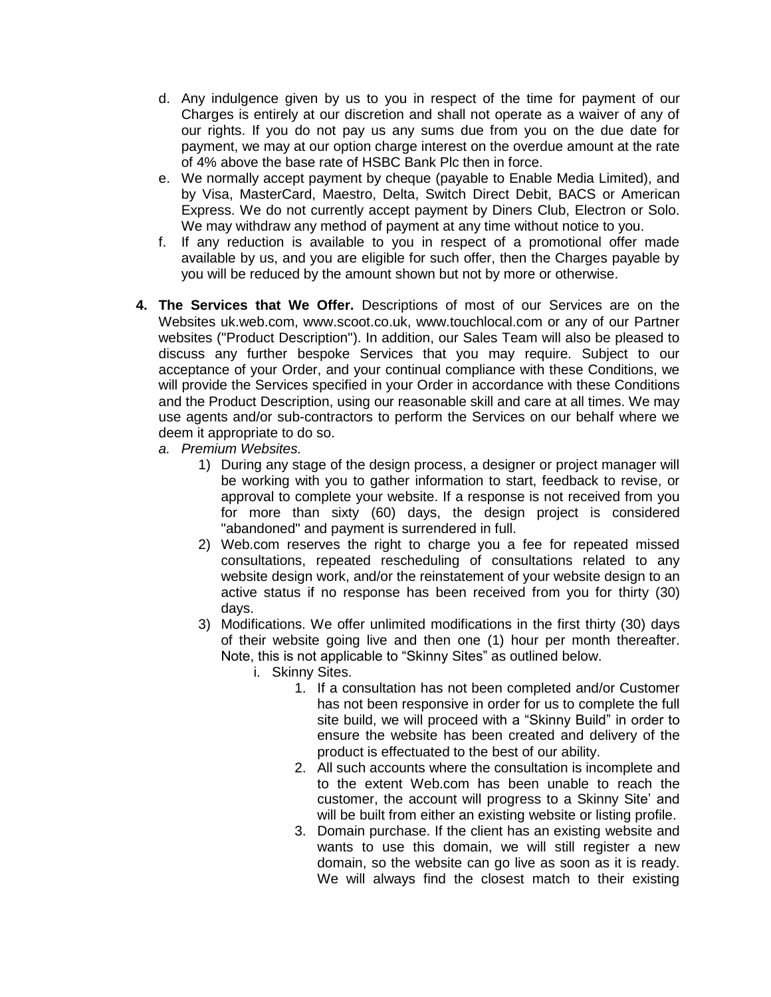- d. Any indulgence given by us to you in respect of the time for payment of our Charges is entirely at our discretion and shall not operate as a waiver of any of our rights. If you do not pay us any sums due from you on the due date for payment, we may at our option charge interest on the overdue amount at the rate of 4% above the base rate of HSBC Bank Plc then in force.
- e. We normally accept payment by cheque (payable to Enable Media Limited), and by Visa, MasterCard, Maestro, Delta, Switch Direct Debit, BACS or American Express. We do not currently accept payment by Diners Club, Electron or Solo. We may withdraw any method of payment at any time without notice to you.
- f. If any reduction is available to you in respect of a promotional offer made available by us, and you are eligible for such offer, then the Charges payable by you will be reduced by the amount shown but not by more or otherwise.
- **4. The Services that We Offer.** Descriptions of most of our Services are on the Websites uk.web.com, www.scoot.co.uk, www.touchlocal.com or any of our Partner websites ("Product Description"). In addition, our Sales Team will also be pleased to discuss any further bespoke Services that you may require. Subject to our acceptance of your Order, and your continual compliance with these Conditions, we will provide the Services specified in your Order in accordance with these Conditions and the Product Description, using our reasonable skill and care at all times. We may use agents and/or sub-contractors to perform the Services on our behalf where we deem it appropriate to do so.
	- *a. Premium Websites.*
		- 1) During any stage of the design process, a designer or project manager will be working with you to gather information to start, feedback to revise, or approval to complete your website. If a response is not received from you for more than sixty (60) days, the design project is considered "abandoned" and payment is surrendered in full.
		- 2) Web.com reserves the right to charge you a fee for repeated missed consultations, repeated rescheduling of consultations related to any website design work, and/or the reinstatement of your website design to an active status if no response has been received from you for thirty (30) days.
		- 3) Modifications. We offer unlimited modifications in the first thirty (30) days of their website going live and then one (1) hour per month thereafter. Note, this is not applicable to "Skinny Sites" as outlined below.
			- i. Skinny Sites.
				- 1. If a consultation has not been completed and/or Customer has not been responsive in order for us to complete the full site build, we will proceed with a "Skinny Build" in order to ensure the website has been created and delivery of the product is effectuated to the best of our ability.
				- 2. All such accounts where the consultation is incomplete and to the extent Web.com has been unable to reach the customer, the account will progress to a Skinny Site' and will be built from either an existing website or listing profile.
				- 3. Domain purchase. If the client has an existing website and wants to use this domain, we will still register a new domain, so the website can go live as soon as it is ready. We will always find the closest match to their existing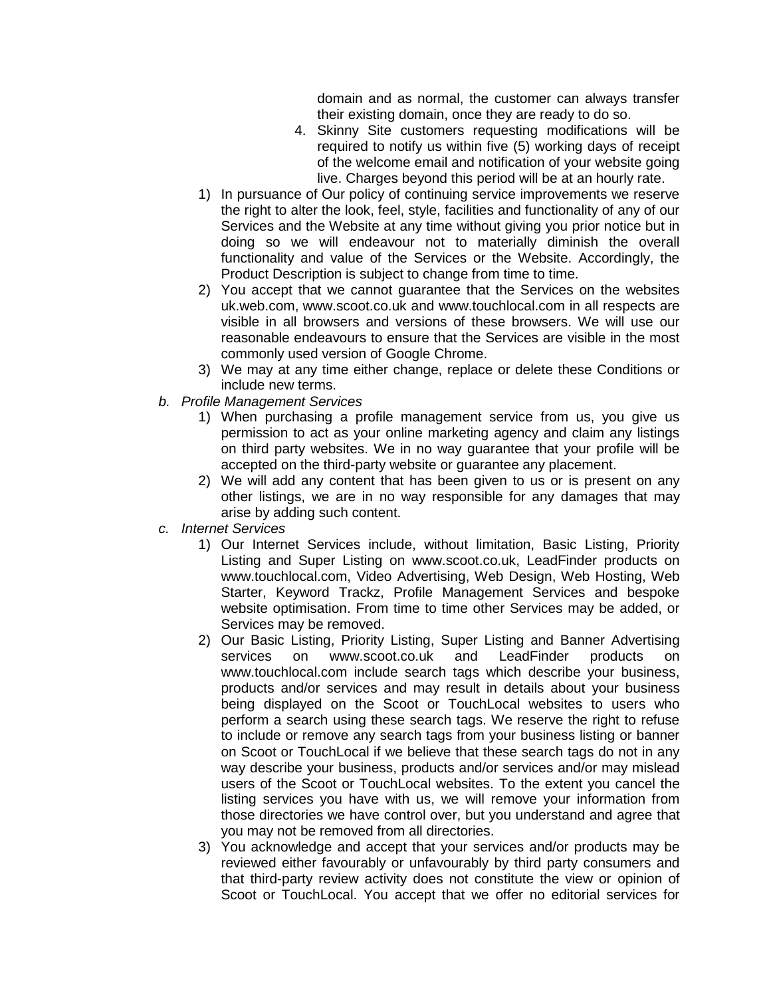domain and as normal, the customer can always transfer their existing domain, once they are ready to do so.

- 4. Skinny Site customers requesting modifications will be required to notify us within five (5) working days of receipt of the welcome email and notification of your website going live. Charges beyond this period will be at an hourly rate.
- 1) In pursuance of Our policy of continuing service improvements we reserve the right to alter the look, feel, style, facilities and functionality of any of our Services and the Website at any time without giving you prior notice but in doing so we will endeavour not to materially diminish the overall functionality and value of the Services or the Website. Accordingly, the Product Description is subject to change from time to time.
- 2) You accept that we cannot guarantee that the Services on the websites uk.web.com, www.scoot.co.uk and www.touchlocal.com in all respects are visible in all browsers and versions of these browsers. We will use our reasonable endeavours to ensure that the Services are visible in the most commonly used version of Google Chrome.
- 3) We may at any time either change, replace or delete these Conditions or include new terms.
- *b. Profile Management Services*
	- 1) When purchasing a profile management service from us, you give us permission to act as your online marketing agency and claim any listings on third party websites. We in no way guarantee that your profile will be accepted on the third-party website or guarantee any placement.
	- 2) We will add any content that has been given to us or is present on any other listings, we are in no way responsible for any damages that may arise by adding such content.
- *c. Internet Services*
	- 1) Our Internet Services include, without limitation, Basic Listing, Priority Listing and Super Listing on www.scoot.co.uk, LeadFinder products on www.touchlocal.com, Video Advertising, Web Design, Web Hosting, Web Starter, Keyword Trackz, Profile Management Services and bespoke website optimisation. From time to time other Services may be added, or Services may be removed.
	- 2) Our Basic Listing, Priority Listing, Super Listing and Banner Advertising services on www.scoot.co.uk and LeadFinder products on www.touchlocal.com include search tags which describe your business, products and/or services and may result in details about your business being displayed on the Scoot or TouchLocal websites to users who perform a search using these search tags. We reserve the right to refuse to include or remove any search tags from your business listing or banner on Scoot or TouchLocal if we believe that these search tags do not in any way describe your business, products and/or services and/or may mislead users of the Scoot or TouchLocal websites. To the extent you cancel the listing services you have with us, we will remove your information from those directories we have control over, but you understand and agree that you may not be removed from all directories.
	- 3) You acknowledge and accept that your services and/or products may be reviewed either favourably or unfavourably by third party consumers and that third-party review activity does not constitute the view or opinion of Scoot or TouchLocal. You accept that we offer no editorial services for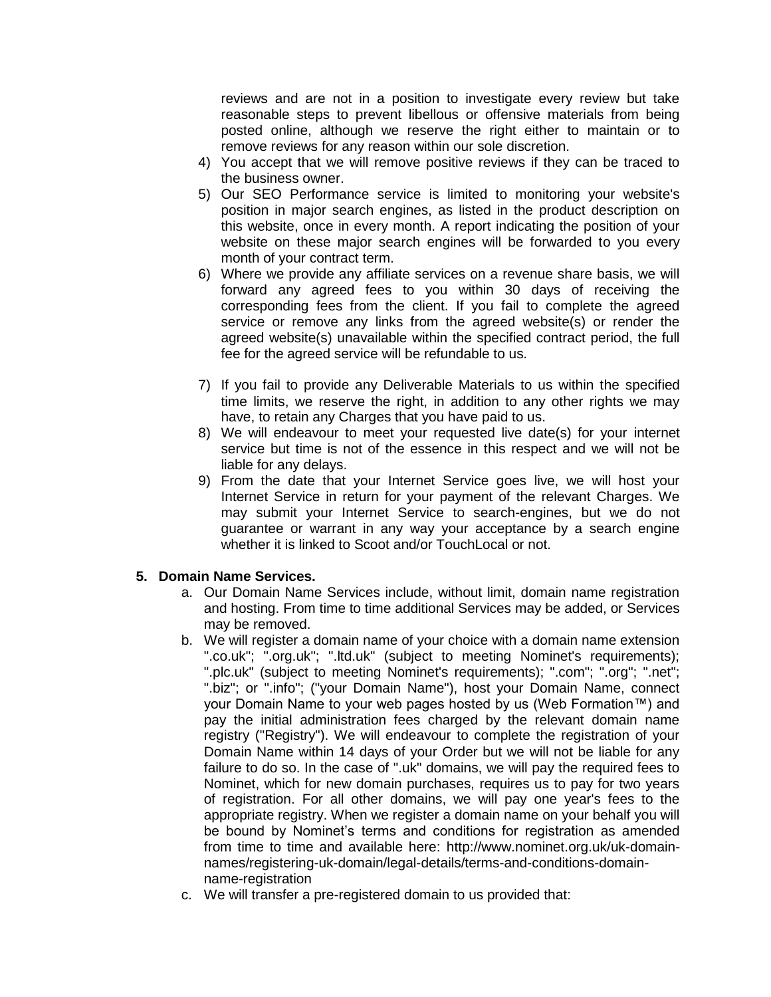reviews and are not in a position to investigate every review but take reasonable steps to prevent libellous or offensive materials from being posted online, although we reserve the right either to maintain or to remove reviews for any reason within our sole discretion.

- 4) You accept that we will remove positive reviews if they can be traced to the business owner.
- 5) Our SEO Performance service is limited to monitoring your website's position in major search engines, as listed in the product description on this website, once in every month. A report indicating the position of your website on these major search engines will be forwarded to you every month of your contract term.
- 6) Where we provide any affiliate services on a revenue share basis, we will forward any agreed fees to you within 30 days of receiving the corresponding fees from the client. If you fail to complete the agreed service or remove any links from the agreed website(s) or render the agreed website(s) unavailable within the specified contract period, the full fee for the agreed service will be refundable to us.
- 7) If you fail to provide any Deliverable Materials to us within the specified time limits, we reserve the right, in addition to any other rights we may have, to retain any Charges that you have paid to us.
- 8) We will endeavour to meet your requested live date(s) for your internet service but time is not of the essence in this respect and we will not be liable for any delays.
- 9) From the date that your Internet Service goes live, we will host your Internet Service in return for your payment of the relevant Charges. We may submit your Internet Service to search-engines, but we do not guarantee or warrant in any way your acceptance by a search engine whether it is linked to Scoot and/or TouchLocal or not.

## **5. Domain Name Services.**

- a. Our Domain Name Services include, without limit, domain name registration and hosting. From time to time additional Services may be added, or Services may be removed.
- b. We will register a domain name of your choice with a domain name extension ".co.uk"; ".org.uk"; ".ltd.uk" (subject to meeting Nominet's requirements); ".plc.uk" (subject to meeting Nominet's requirements); ".com"; ".org"; ".net"; ".biz"; or ".info"; ("your Domain Name"), host your Domain Name, connect your Domain Name to your web pages hosted by us (Web Formation™) and pay the initial administration fees charged by the relevant domain name registry ("Registry"). We will endeavour to complete the registration of your Domain Name within 14 days of your Order but we will not be liable for any failure to do so. In the case of ".uk" domains, we will pay the required fees to Nominet, which for new domain purchases, requires us to pay for two years of registration. For all other domains, we will pay one year's fees to the appropriate registry. When we register a domain name on your behalf you will be bound by Nominet's terms and conditions for registration as amended from time to time and available here: [http://www.nominet.org.uk/uk-domain](http://www.nominet.org.uk/uk-domain-names/registering-uk-domain/legal-details/terms-and-conditions-domain-name-registration)[names/registering-uk-domain/legal-details/terms-and-conditions-domain](http://www.nominet.org.uk/uk-domain-names/registering-uk-domain/legal-details/terms-and-conditions-domain-name-registration)[name-registration](http://www.nominet.org.uk/uk-domain-names/registering-uk-domain/legal-details/terms-and-conditions-domain-name-registration)
- c. We will transfer a pre-registered domain to us provided that: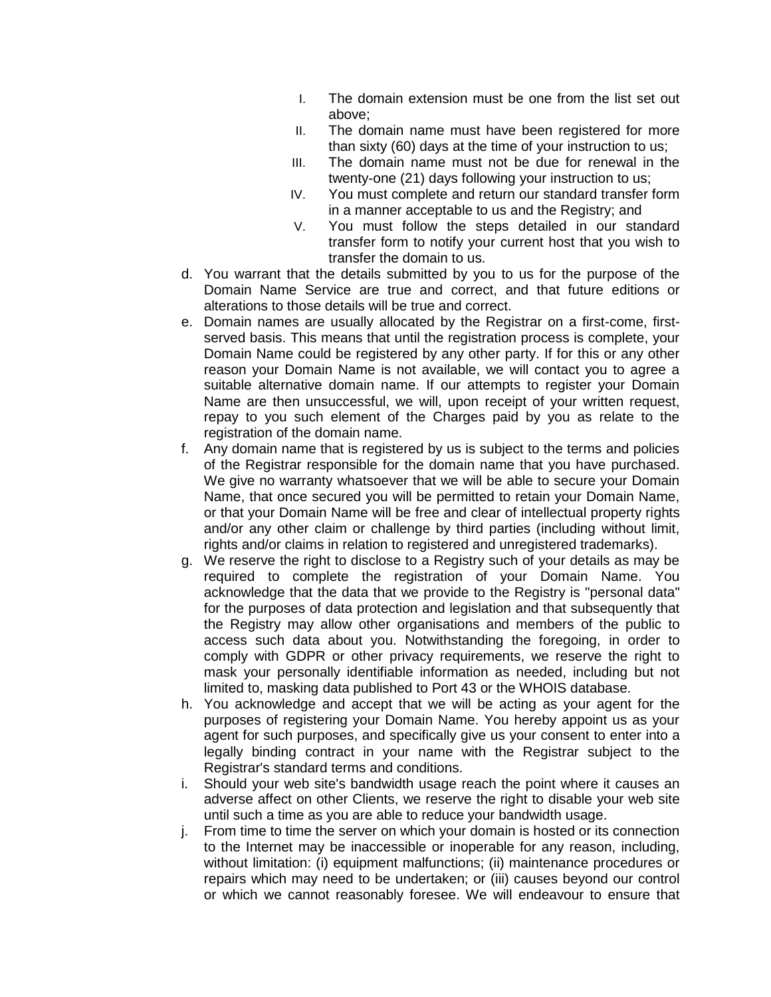- I. The domain extension must be one from the list set out above;
- II. The domain name must have been registered for more than sixty (60) days at the time of your instruction to us;
- III. The domain name must not be due for renewal in the twenty-one (21) days following your instruction to us;
- IV. You must complete and return our standard transfer form in a manner acceptable to us and the Registry; and
- V. You must follow the steps detailed in our standard transfer form to notify your current host that you wish to transfer the domain to us.
- d. You warrant that the details submitted by you to us for the purpose of the Domain Name Service are true and correct, and that future editions or alterations to those details will be true and correct.
- e. Domain names are usually allocated by the Registrar on a first-come, firstserved basis. This means that until the registration process is complete, your Domain Name could be registered by any other party. If for this or any other reason your Domain Name is not available, we will contact you to agree a suitable alternative domain name. If our attempts to register your Domain Name are then unsuccessful, we will, upon receipt of your written request, repay to you such element of the Charges paid by you as relate to the registration of the domain name.
- f. Any domain name that is registered by us is subject to the terms and policies of the Registrar responsible for the domain name that you have purchased. We give no warranty whatsoever that we will be able to secure your Domain Name, that once secured you will be permitted to retain your Domain Name, or that your Domain Name will be free and clear of intellectual property rights and/or any other claim or challenge by third parties (including without limit, rights and/or claims in relation to registered and unregistered trademarks).
- g. We reserve the right to disclose to a Registry such of your details as may be required to complete the registration of your Domain Name. You acknowledge that the data that we provide to the Registry is "personal data" for the purposes of data protection and legislation and that subsequently that the Registry may allow other organisations and members of the public to access such data about you. Notwithstanding the foregoing, in order to comply with GDPR or other privacy requirements, we reserve the right to mask your personally identifiable information as needed, including but not limited to, masking data published to Port 43 or the WHOIS database.
- h. You acknowledge and accept that we will be acting as your agent for the purposes of registering your Domain Name. You hereby appoint us as your agent for such purposes, and specifically give us your consent to enter into a legally binding contract in your name with the Registrar subject to the Registrar's standard terms and conditions.
- i. Should your web site's bandwidth usage reach the point where it causes an adverse affect on other Clients, we reserve the right to disable your web site until such a time as you are able to reduce your bandwidth usage.
- j. From time to time the server on which your domain is hosted or its connection to the Internet may be inaccessible or inoperable for any reason, including, without limitation: (i) equipment malfunctions; (ii) maintenance procedures or repairs which may need to be undertaken; or (iii) causes beyond our control or which we cannot reasonably foresee. We will endeavour to ensure that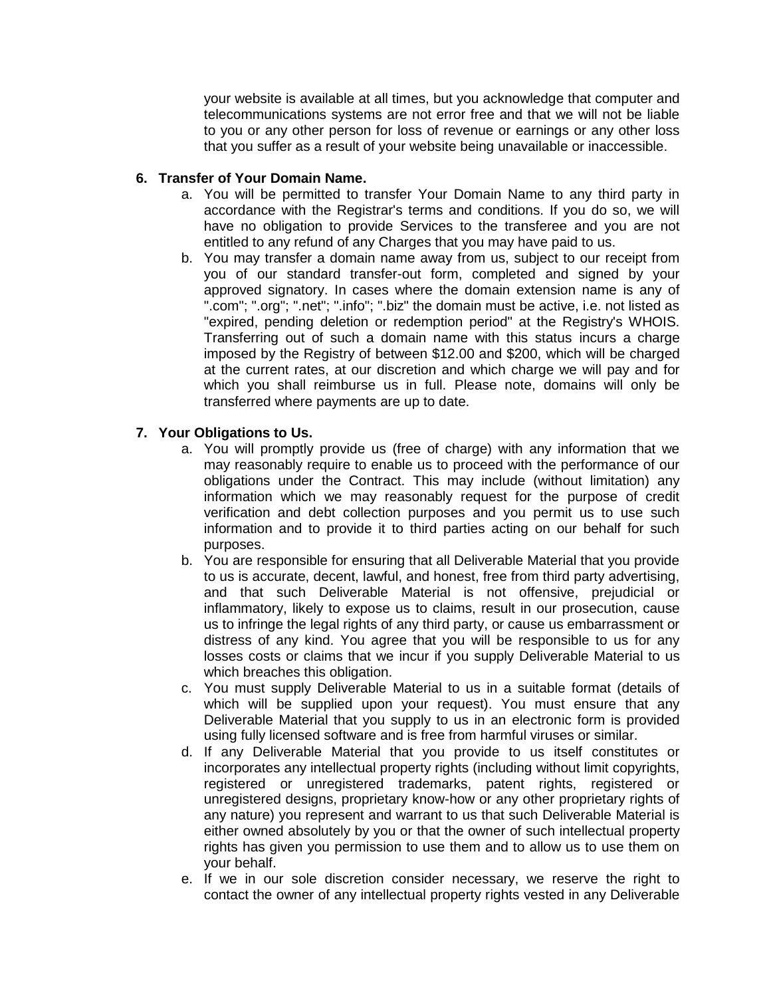your website is available at all times, but you acknowledge that computer and telecommunications systems are not error free and that we will not be liable to you or any other person for loss of revenue or earnings or any other loss that you suffer as a result of your website being unavailable or inaccessible.

## **6. Transfer of Your Domain Name.**

- a. You will be permitted to transfer Your Domain Name to any third party in accordance with the Registrar's terms and conditions. If you do so, we will have no obligation to provide Services to the transferee and you are not entitled to any refund of any Charges that you may have paid to us.
- b. You may transfer a domain name away from us, subject to our receipt from you of our standard transfer-out form, completed and signed by your approved signatory. In cases where the domain extension name is any of ".com"; ".org"; ".net"; ".info"; ".biz" the domain must be active, i.e. not listed as "expired, pending deletion or redemption period" at the Registry's WHOIS. Transferring out of such a domain name with this status incurs a charge imposed by the Registry of between \$12.00 and \$200, which will be charged at the current rates, at our discretion and which charge we will pay and for which you shall reimburse us in full. Please note, domains will only be transferred where payments are up to date.

## **7. Your Obligations to Us.**

- a. You will promptly provide us (free of charge) with any information that we may reasonably require to enable us to proceed with the performance of our obligations under the Contract. This may include (without limitation) any information which we may reasonably request for the purpose of credit verification and debt collection purposes and you permit us to use such information and to provide it to third parties acting on our behalf for such purposes.
- b. You are responsible for ensuring that all Deliverable Material that you provide to us is accurate, decent, lawful, and honest, free from third party advertising, and that such Deliverable Material is not offensive, prejudicial or inflammatory, likely to expose us to claims, result in our prosecution, cause us to infringe the legal rights of any third party, or cause us embarrassment or distress of any kind. You agree that you will be responsible to us for any losses costs or claims that we incur if you supply Deliverable Material to us which breaches this obligation.
- c. You must supply Deliverable Material to us in a suitable format (details of which will be supplied upon your request). You must ensure that any Deliverable Material that you supply to us in an electronic form is provided using fully licensed software and is free from harmful viruses or similar.
- d. If any Deliverable Material that you provide to us itself constitutes or incorporates any intellectual property rights (including without limit copyrights, registered or unregistered trademarks, patent rights, registered or unregistered designs, proprietary know-how or any other proprietary rights of any nature) you represent and warrant to us that such Deliverable Material is either owned absolutely by you or that the owner of such intellectual property rights has given you permission to use them and to allow us to use them on your behalf.
- e. If we in our sole discretion consider necessary, we reserve the right to contact the owner of any intellectual property rights vested in any Deliverable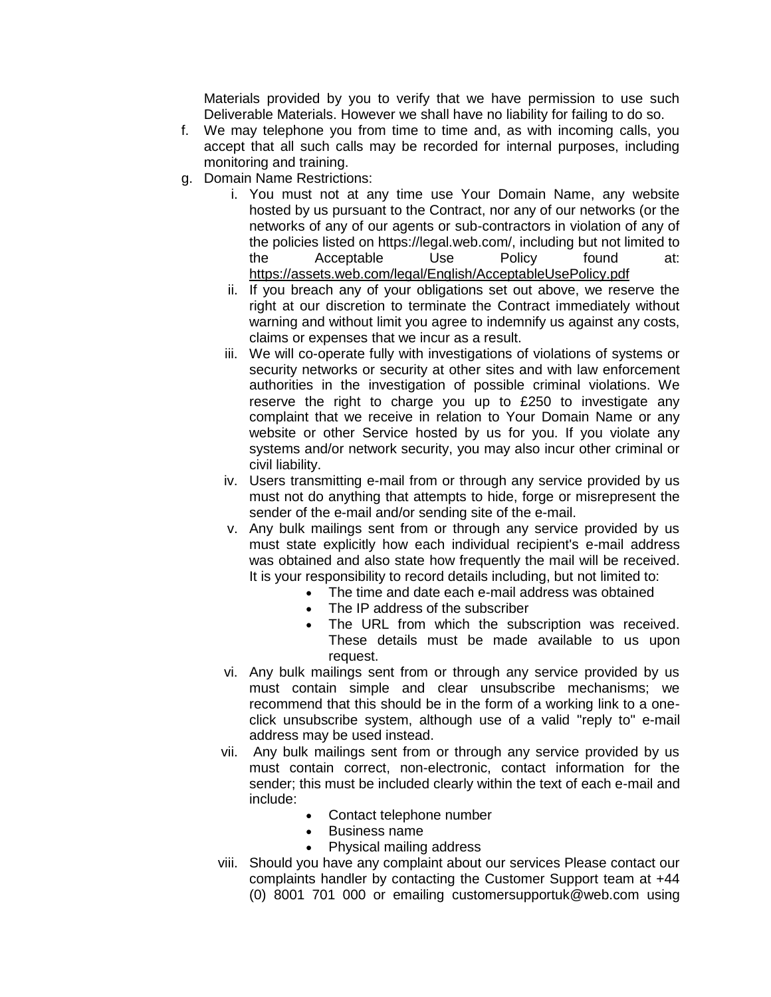Materials provided by you to verify that we have permission to use such Deliverable Materials. However we shall have no liability for failing to do so.

- f. We may telephone you from time to time and, as with incoming calls, you accept that all such calls may be recorded for internal purposes, including monitoring and training.
- g. Domain Name Restrictions:
	- i. You must not at any time use Your Domain Name, any website hosted by us pursuant to the Contract, nor any of our networks (or the networks of any of our agents or sub-contractors in violation of any of the policies listed on https://legal.web.com/, including but not limited to the Acceptable Use Policy found at: <https://assets.web.com/legal/English/AcceptableUsePolicy.pdf>
	- ii. If you breach any of your obligations set out above, we reserve the right at our discretion to terminate the Contract immediately without warning and without limit you agree to indemnify us against any costs, claims or expenses that we incur as a result.
	- iii. We will co-operate fully with investigations of violations of systems or security networks or security at other sites and with law enforcement authorities in the investigation of possible criminal violations. We reserve the right to charge you up to £250 to investigate any complaint that we receive in relation to Your Domain Name or any website or other Service hosted by us for you. If you violate any systems and/or network security, you may also incur other criminal or civil liability.
	- iv. Users transmitting e-mail from or through any service provided by us must not do anything that attempts to hide, forge or misrepresent the sender of the e-mail and/or sending site of the e-mail.
	- v. Any bulk mailings sent from or through any service provided by us must state explicitly how each individual recipient's e-mail address was obtained and also state how frequently the mail will be received. It is your responsibility to record details including, but not limited to:
		- The time and date each e-mail address was obtained
		- The IP address of the subscriber
		- The URL from which the subscription was received. These details must be made available to us upon request.
	- vi. Any bulk mailings sent from or through any service provided by us must contain simple and clear unsubscribe mechanisms; we recommend that this should be in the form of a working link to a oneclick unsubscribe system, although use of a valid "reply to" e-mail address may be used instead.
	- vii. Any bulk mailings sent from or through any service provided by us must contain correct, non-electronic, contact information for the sender; this must be included clearly within the text of each e-mail and include:
		- Contact telephone number
		- Business name
		- Physical mailing address
	- viii. Should you have any complaint about our services Please contact our complaints handler by contacting the Customer Support team at +44 (0) 8001 701 000 or emailing customersupportuk@web.com using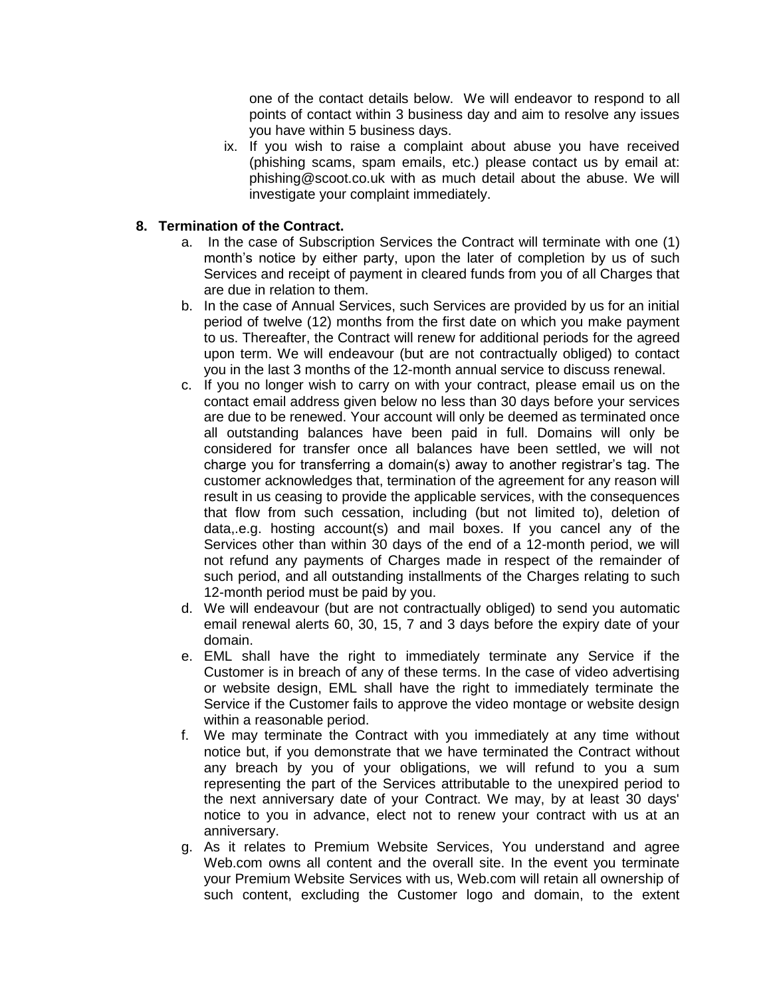one of the contact details below. We will endeavor to respond to all points of contact within 3 business day and aim to resolve any issues you have within 5 business days.

ix. If you wish to raise a complaint about abuse you have received (phishing scams, spam emails, etc.) please contact us by email at: phishing@scoot.co.uk with as much detail about the abuse. We will investigate your complaint immediately.

# **8. Termination of the Contract.**

- a. In the case of Subscription Services the Contract will terminate with one (1) month's notice by either party, upon the later of completion by us of such Services and receipt of payment in cleared funds from you of all Charges that are due in relation to them.
- b. In the case of Annual Services, such Services are provided by us for an initial period of twelve (12) months from the first date on which you make payment to us. Thereafter, the Contract will renew for additional periods for the agreed upon term. We will endeavour (but are not contractually obliged) to contact you in the last 3 months of the 12-month annual service to discuss renewal.
- c. If you no longer wish to carry on with your contract, please email us on the contact email address given below no less than 30 days before your services are due to be renewed. Your account will only be deemed as terminated once all outstanding balances have been paid in full. Domains will only be considered for transfer once all balances have been settled, we will not charge you for transferring a domain(s) away to another registrar's tag. The customer acknowledges that, termination of the agreement for any reason will result in us ceasing to provide the applicable services, with the consequences that flow from such cessation, including (but not limited to), deletion of data,.e.g. hosting account(s) and mail boxes. If you cancel any of the Services other than within 30 days of the end of a 12-month period, we will not refund any payments of Charges made in respect of the remainder of such period, and all outstanding installments of the Charges relating to such 12-month period must be paid by you.
- d. We will endeavour (but are not contractually obliged) to send you automatic email renewal alerts 60, 30, 15, 7 and 3 days before the expiry date of your domain.
- e. EML shall have the right to immediately terminate any Service if the Customer is in breach of any of these terms. In the case of video advertising or website design, EML shall have the right to immediately terminate the Service if the Customer fails to approve the video montage or website design within a reasonable period.
- f. We may terminate the Contract with you immediately at any time without notice but, if you demonstrate that we have terminated the Contract without any breach by you of your obligations, we will refund to you a sum representing the part of the Services attributable to the unexpired period to the next anniversary date of your Contract. We may, by at least 30 days' notice to you in advance, elect not to renew your contract with us at an anniversary.
- g. As it relates to Premium Website Services, You understand and agree Web.com owns all content and the overall site. In the event you terminate your Premium Website Services with us, Web.com will retain all ownership of such content, excluding the Customer logo and domain, to the extent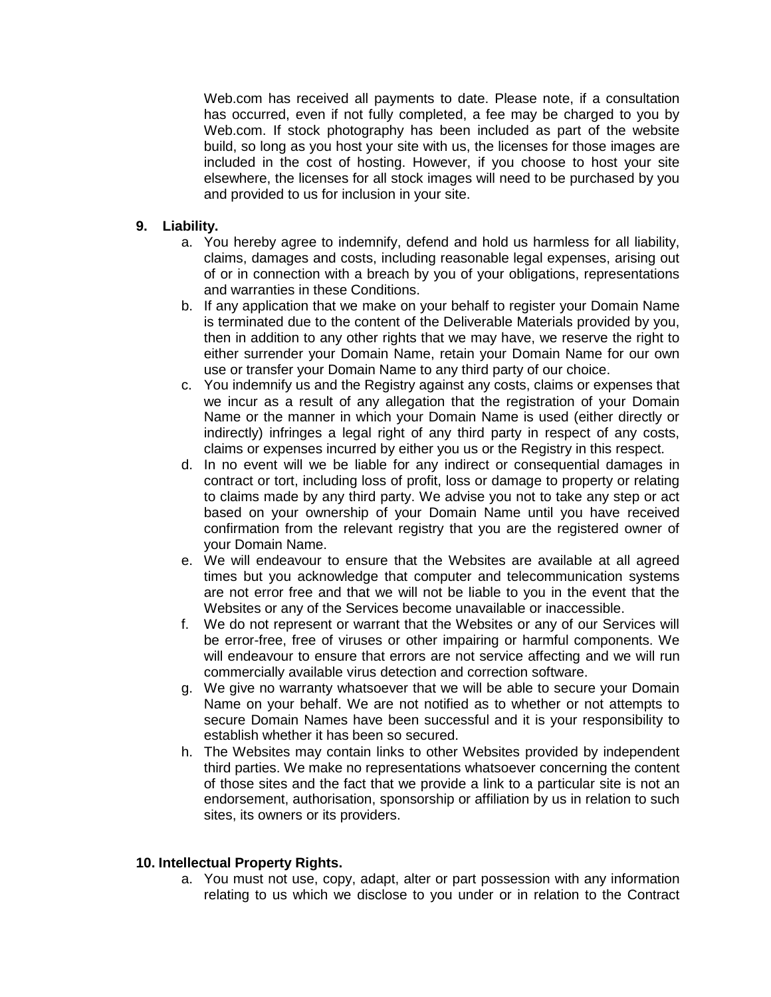Web.com has received all payments to date. Please note, if a consultation has occurred, even if not fully completed, a fee may be charged to you by Web.com. If stock photography has been included as part of the website build, so long as you host your site with us, the licenses for those images are included in the cost of hosting. However, if you choose to host your site elsewhere, the licenses for all stock images will need to be purchased by you and provided to us for inclusion in your site.

## **9. Liability.**

- a. You hereby agree to indemnify, defend and hold us harmless for all liability, claims, damages and costs, including reasonable legal expenses, arising out of or in connection with a breach by you of your obligations, representations and warranties in these Conditions.
- b. If any application that we make on your behalf to register your Domain Name is terminated due to the content of the Deliverable Materials provided by you, then in addition to any other rights that we may have, we reserve the right to either surrender your Domain Name, retain your Domain Name for our own use or transfer your Domain Name to any third party of our choice.
- c. You indemnify us and the Registry against any costs, claims or expenses that we incur as a result of any allegation that the registration of your Domain Name or the manner in which your Domain Name is used (either directly or indirectly) infringes a legal right of any third party in respect of any costs, claims or expenses incurred by either you us or the Registry in this respect.
- d. In no event will we be liable for any indirect or consequential damages in contract or tort, including loss of profit, loss or damage to property or relating to claims made by any third party. We advise you not to take any step or act based on your ownership of your Domain Name until you have received confirmation from the relevant registry that you are the registered owner of your Domain Name.
- e. We will endeavour to ensure that the Websites are available at all agreed times but you acknowledge that computer and telecommunication systems are not error free and that we will not be liable to you in the event that the Websites or any of the Services become unavailable or inaccessible.
- f. We do not represent or warrant that the Websites or any of our Services will be error-free, free of viruses or other impairing or harmful components. We will endeavour to ensure that errors are not service affecting and we will run commercially available virus detection and correction software.
- g. We give no warranty whatsoever that we will be able to secure your Domain Name on your behalf. We are not notified as to whether or not attempts to secure Domain Names have been successful and it is your responsibility to establish whether it has been so secured.
- h. The Websites may contain links to other Websites provided by independent third parties. We make no representations whatsoever concerning the content of those sites and the fact that we provide a link to a particular site is not an endorsement, authorisation, sponsorship or affiliation by us in relation to such sites, its owners or its providers.

#### **10. Intellectual Property Rights.**

a. You must not use, copy, adapt, alter or part possession with any information relating to us which we disclose to you under or in relation to the Contract